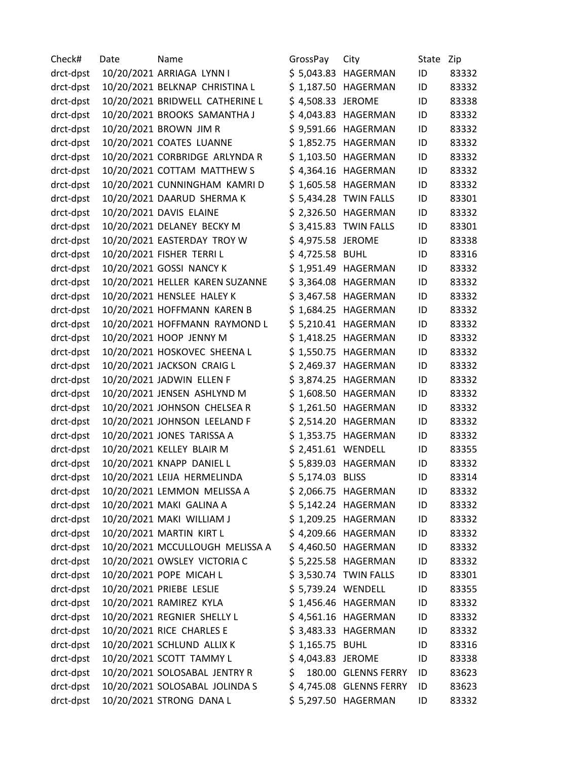| Check#    | Date | Name                            | GrossPay           | City                    | State | Zip   |
|-----------|------|---------------------------------|--------------------|-------------------------|-------|-------|
| drct-dpst |      | 10/20/2021 ARRIAGA LYNN I       |                    | \$5,043.83 HAGERMAN     | ID    | 83332 |
| drct-dpst |      | 10/20/2021 BELKNAP CHRISTINA L  |                    | \$1,187.50 HAGERMAN     | ID    | 83332 |
| drct-dpst |      | 10/20/2021 BRIDWELL CATHERINE L | \$4,508.33 JEROME  |                         | ID    | 83338 |
| drct-dpst |      | 10/20/2021 BROOKS SAMANTHA J    |                    | \$4,043.83 HAGERMAN     | ID    | 83332 |
| drct-dpst |      | 10/20/2021 BROWN JIM R          |                    | \$9,591.66 HAGERMAN     | ID    | 83332 |
| drct-dpst |      | 10/20/2021 COATES LUANNE        |                    | \$1,852.75 HAGERMAN     | ID    | 83332 |
| drct-dpst |      | 10/20/2021 CORBRIDGE ARLYNDA R  |                    | \$1,103.50 HAGERMAN     | ID    | 83332 |
| drct-dpst |      | 10/20/2021 COTTAM MATTHEW S     |                    | \$4,364.16 HAGERMAN     | ID    | 83332 |
| drct-dpst |      | 10/20/2021 CUNNINGHAM KAMRI D   |                    | \$1,605.58 HAGERMAN     | ID    | 83332 |
| drct-dpst |      | 10/20/2021 DAARUD SHERMA K      |                    | \$5,434.28 TWIN FALLS   | ID    | 83301 |
| drct-dpst |      | 10/20/2021 DAVIS ELAINE         |                    | \$ 2,326.50 HAGERMAN    | ID    | 83332 |
| drct-dpst |      | 10/20/2021 DELANEY BECKY M      |                    | \$3,415.83 TWIN FALLS   | ID    | 83301 |
| drct-dpst |      | 10/20/2021 EASTERDAY TROY W     | \$4,975.58 JEROME  |                         | ID    | 83338 |
| drct-dpst |      | 10/20/2021 FISHER TERRIL        | \$4,725.58 BUHL    |                         | ID    | 83316 |
| drct-dpst |      | 10/20/2021 GOSSI NANCY K        |                    | \$1,951.49 HAGERMAN     | ID    | 83332 |
| drct-dpst |      | 10/20/2021 HELLER KAREN SUZANNE |                    | \$3,364.08 HAGERMAN     | ID    | 83332 |
| drct-dpst |      | 10/20/2021 HENSLEE HALEY K      |                    | \$3,467.58 HAGERMAN     | ID    | 83332 |
| drct-dpst |      | 10/20/2021 HOFFMANN KAREN B     |                    | \$1,684.25 HAGERMAN     | ID    | 83332 |
| drct-dpst |      | 10/20/2021 HOFFMANN RAYMOND L   |                    | \$5,210.41 HAGERMAN     | ID    | 83332 |
| drct-dpst |      | 10/20/2021 HOOP JENNY M         |                    | \$1,418.25 HAGERMAN     | ID    | 83332 |
| drct-dpst |      | 10/20/2021 HOSKOVEC SHEENA L    |                    | \$1,550.75 HAGERMAN     | ID    | 83332 |
| drct-dpst |      | 10/20/2021 JACKSON CRAIG L      |                    | \$ 2,469.37 HAGERMAN    | ID    | 83332 |
| drct-dpst |      | 10/20/2021 JADWIN ELLEN F       |                    | \$3,874.25 HAGERMAN     | ID    | 83332 |
| drct-dpst |      | 10/20/2021 JENSEN ASHLYND M     |                    | \$1,608.50 HAGERMAN     | ID    | 83332 |
| drct-dpst |      | 10/20/2021 JOHNSON CHELSEA R    |                    | \$1,261.50 HAGERMAN     | ID    | 83332 |
| drct-dpst |      | 10/20/2021 JOHNSON LEELAND F    |                    | \$ 2,514.20 HAGERMAN    | ID    | 83332 |
| drct-dpst |      | 10/20/2021 JONES TARISSA A      |                    | \$1,353.75 HAGERMAN     | ID    | 83332 |
| drct-dpst |      | 10/20/2021 KELLEY BLAIR M       | \$2,451.61 WENDELL |                         | ID    | 83355 |
| drct-dpst |      | 10/20/2021 KNAPP DANIEL L       |                    | \$5,839.03 HAGERMAN     | ID    | 83332 |
| drct-dpst |      | 10/20/2021 LEIJA HERMELINDA     | \$5,174.03 BLISS   |                         | ID    | 83314 |
| drct-dpst |      | 10/20/2021 LEMMON MELISSA A     |                    | \$ 2,066.75 HAGERMAN    | ID    | 83332 |
| drct-dpst |      | 10/20/2021 MAKI GALINA A        |                    | \$5,142.24 HAGERMAN     | ID    | 83332 |
| drct-dpst |      | 10/20/2021 MAKI WILLIAM J       |                    | \$1,209.25 HAGERMAN     | ID    | 83332 |
| drct-dpst |      | 10/20/2021 MARTIN KIRT L        |                    | \$4,209.66 HAGERMAN     | ID    | 83332 |
| drct-dpst |      | 10/20/2021 MCCULLOUGH MELISSA A |                    | \$4,460.50 HAGERMAN     | ID    | 83332 |
| drct-dpst |      | 10/20/2021 OWSLEY VICTORIA C    |                    | \$5,225.58 HAGERMAN     | ID    | 83332 |
| drct-dpst |      | 10/20/2021 POPE MICAH L         |                    | \$3,530.74 TWIN FALLS   | ID    | 83301 |
| drct-dpst |      | 10/20/2021 PRIEBE LESLIE        | \$5,739.24 WENDELL |                         | ID    | 83355 |
| drct-dpst |      | 10/20/2021 RAMIREZ KYLA         |                    | \$1,456.46 HAGERMAN     | ID    | 83332 |
| drct-dpst |      | 10/20/2021 REGNIER SHELLY L     |                    | $$4,561.16$ HAGERMAN    | ID    | 83332 |
| drct-dpst |      | 10/20/2021 RICE CHARLES E       |                    | \$3,483.33 HAGERMAN     | ID    | 83332 |
| drct-dpst |      | 10/20/2021 SCHLUND ALLIX K      | \$1,165.75 BUHL    |                         | ID    | 83316 |
| drct-dpst |      | 10/20/2021 SCOTT TAMMY L        | \$4,043.83 JEROME  |                         | ID    | 83338 |
| drct-dpst |      | 10/20/2021 SOLOSABAL JENTRY R   | \$.                | 180.00 GLENNS FERRY     | ID    | 83623 |
| drct-dpst |      | 10/20/2021 SOLOSABAL JOLINDA S  |                    | \$4,745.08 GLENNS FERRY | ID    | 83623 |
| drct-dpst |      | 10/20/2021 STRONG DANA L        |                    | \$5,297.50 HAGERMAN     | ID    | 83332 |